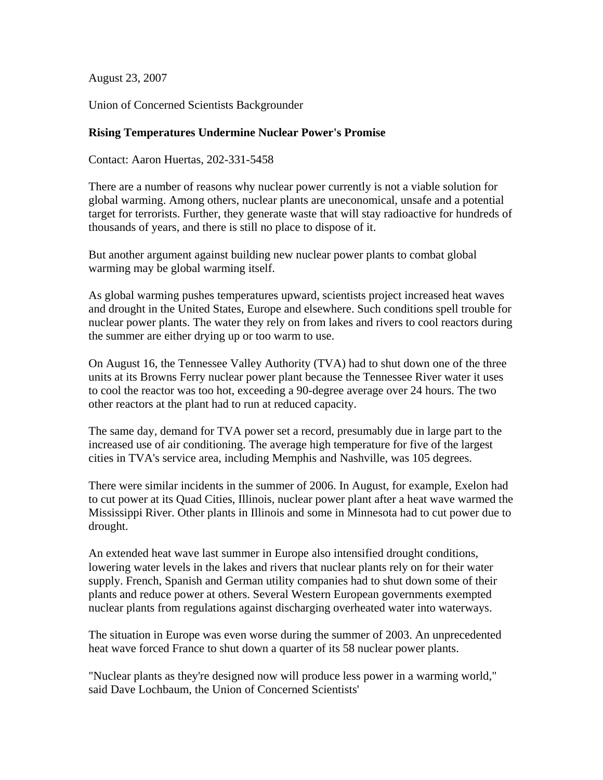August 23, 2007

Union of Concerned Scientists Backgrounder

## **Rising Temperatures Undermine Nuclear Power's Promise**

Contact: Aaron Huertas, 202-331-5458

There are a number of reasons why nuclear power currently is not a viable solution for global warming. Among others, nuclear plants are uneconomical, unsafe and a potential target for terrorists. Further, they generate waste that will stay radioactive for hundreds of thousands of years, and there is still no place to dispose of it.

But another argument against building new nuclear power plants to combat global warming may be global warming itself.

As global warming pushes temperatures upward, scientists project increased heat waves and drought in the United States, Europe and elsewhere. Such conditions spell trouble for nuclear power plants. The water they rely on from lakes and rivers to cool reactors during the summer are either drying up or too warm to use.

On August 16, the Tennessee Valley Authority (TVA) had to shut down one of the three units at its Browns Ferry nuclear power plant because the Tennessee River water it uses to cool the reactor was too hot, exceeding a 90-degree average over 24 hours. The two other reactors at the plant had to run at reduced capacity.

The same day, demand for TVA power set a record, presumably due in large part to the increased use of air conditioning. The average high temperature for five of the largest cities in TVA's service area, including Memphis and Nashville, was 105 degrees.

There were similar incidents in the summer of 2006. In August, for example, Exelon had to cut power at its Quad Cities, Illinois, nuclear power plant after a heat wave warmed the Mississippi River. Other plants in Illinois and some in Minnesota had to cut power due to drought.

An extended heat wave last summer in Europe also intensified drought conditions, lowering water levels in the lakes and rivers that nuclear plants rely on for their water supply. French, Spanish and German utility companies had to shut down some of their plants and reduce power at others. Several Western European governments exempted nuclear plants from regulations against discharging overheated water into waterways.

The situation in Europe was even worse during the summer of 2003. An unprecedented heat wave forced France to shut down a quarter of its 58 nuclear power plants.

"Nuclear plants as they're designed now will produce less power in a warming world," said Dave Lochbaum, the Union of Concerned Scientists'